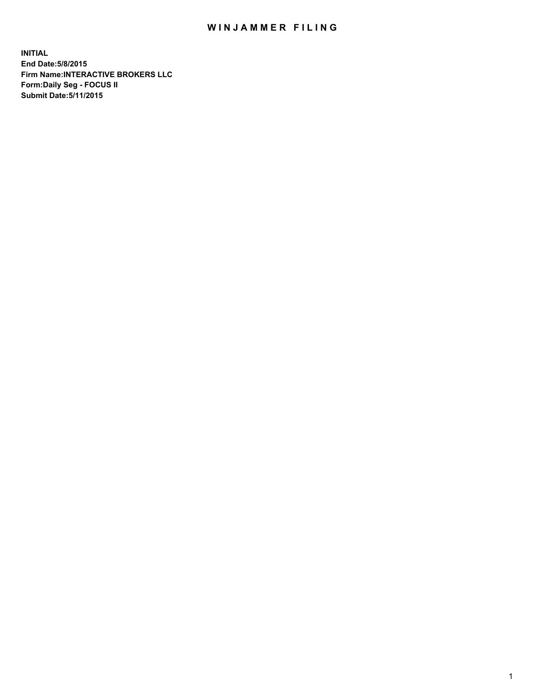## WIN JAMMER FILING

**INITIAL End Date:5/8/2015 Firm Name:INTERACTIVE BROKERS LLC Form:Daily Seg - FOCUS II Submit Date:5/11/2015**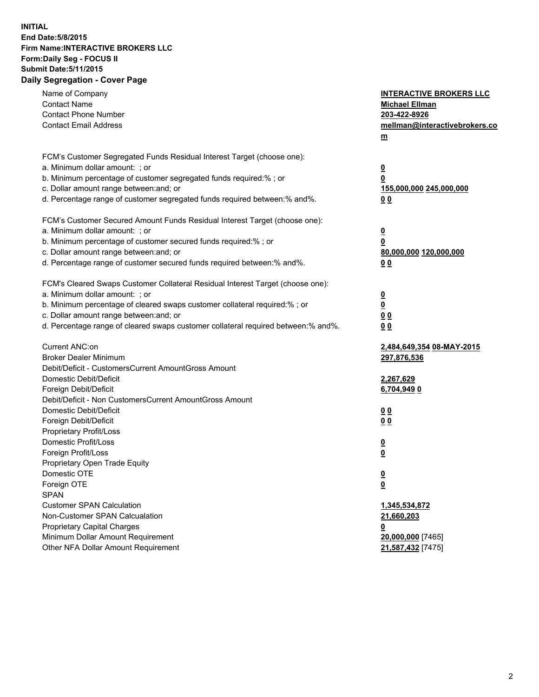## **INITIAL End Date:5/8/2015 Firm Name:INTERACTIVE BROKERS LLC Form:Daily Seg - FOCUS II Submit Date:5/11/2015 Daily Segregation - Cover Page**

| Name of Company                                                                   | <b>INTERACTIVE BROKERS LLC</b> |
|-----------------------------------------------------------------------------------|--------------------------------|
| <b>Contact Name</b>                                                               | <b>Michael Ellman</b>          |
| <b>Contact Phone Number</b>                                                       | 203-422-8926                   |
| <b>Contact Email Address</b>                                                      | mellman@interactivebrokers.co  |
|                                                                                   | $m$                            |
| FCM's Customer Segregated Funds Residual Interest Target (choose one):            |                                |
| a. Minimum dollar amount: ; or                                                    | $\overline{\mathbf{0}}$        |
| b. Minimum percentage of customer segregated funds required:% ; or                | 0                              |
| c. Dollar amount range between: and; or                                           | 155,000,000 245,000,000        |
| d. Percentage range of customer segregated funds required between:% and%.         | 0 <sub>0</sub>                 |
| FCM's Customer Secured Amount Funds Residual Interest Target (choose one):        |                                |
| a. Minimum dollar amount: ; or                                                    |                                |
| b. Minimum percentage of customer secured funds required:% ; or                   | $\overline{\mathbf{0}}$<br>0   |
| c. Dollar amount range between: and; or                                           | 80,000,000 120,000,000         |
| d. Percentage range of customer secured funds required between:% and%.            | 0 <sub>0</sub>                 |
|                                                                                   |                                |
| FCM's Cleared Swaps Customer Collateral Residual Interest Target (choose one):    |                                |
| a. Minimum dollar amount: ; or                                                    | $\overline{\mathbf{0}}$        |
| b. Minimum percentage of cleared swaps customer collateral required:% ; or        | $\overline{\mathbf{0}}$        |
| c. Dollar amount range between: and; or                                           | 0 <sub>0</sub>                 |
| d. Percentage range of cleared swaps customer collateral required between:% and%. | 0 <sub>0</sub>                 |
| Current ANC:on                                                                    | 2,484,649,354 08-MAY-2015      |
| <b>Broker Dealer Minimum</b>                                                      | 297,876,536                    |
| Debit/Deficit - CustomersCurrent AmountGross Amount                               |                                |
| Domestic Debit/Deficit                                                            | 2,267,629                      |
| Foreign Debit/Deficit                                                             | 6,704,9490                     |
| Debit/Deficit - Non CustomersCurrent AmountGross Amount                           |                                |
| Domestic Debit/Deficit                                                            | 0 <sub>0</sub>                 |
| Foreign Debit/Deficit                                                             | 0 <sub>0</sub>                 |
| Proprietary Profit/Loss                                                           |                                |
| Domestic Profit/Loss                                                              | <u>0</u>                       |
| Foreign Profit/Loss                                                               | $\overline{\mathbf{0}}$        |
| Proprietary Open Trade Equity                                                     |                                |
| Domestic OTE                                                                      | <u>0</u>                       |
| Foreign OTE                                                                       | <u>0</u>                       |
| <b>SPAN</b>                                                                       |                                |
| <b>Customer SPAN Calculation</b>                                                  | 1,345,534,872                  |
| Non-Customer SPAN Calcualation                                                    | 21,660,203                     |
| <b>Proprietary Capital Charges</b>                                                | <u>0</u>                       |
| Minimum Dollar Amount Requirement                                                 | 20,000,000 [7465]              |
| Other NFA Dollar Amount Requirement                                               | 21,587,432 [7475]              |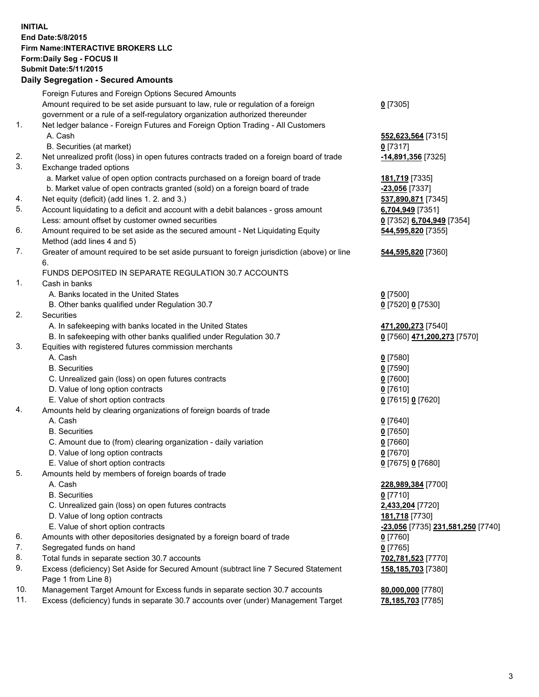## **INITIAL End Date:5/8/2015 Firm Name:INTERACTIVE BROKERS LLC Form:Daily Seg - FOCUS II Submit Date:5/11/2015 Daily Segregation - Secured Amounts**

|     | Foreign Futures and Foreign Options Secured Amounts                                         |                                                |
|-----|---------------------------------------------------------------------------------------------|------------------------------------------------|
|     | Amount required to be set aside pursuant to law, rule or regulation of a foreign            | $0$ [7305]                                     |
|     | government or a rule of a self-regulatory organization authorized thereunder                |                                                |
| 1.  | Net ledger balance - Foreign Futures and Foreign Option Trading - All Customers             |                                                |
|     | A. Cash                                                                                     | 552,623,564 [7315]                             |
|     | B. Securities (at market)                                                                   | $0$ [7317]                                     |
| 2.  | Net unrealized profit (loss) in open futures contracts traded on a foreign board of trade   | -14,891,356 [7325]                             |
| 3.  | Exchange traded options                                                                     |                                                |
|     | a. Market value of open option contracts purchased on a foreign board of trade              | 181,719 [7335]                                 |
|     | b. Market value of open contracts granted (sold) on a foreign board of trade                | -23,056 [7337]                                 |
| 4.  | Net equity (deficit) (add lines 1.2. and 3.)                                                | 537,890,871 [7345]                             |
| 5.  | Account liquidating to a deficit and account with a debit balances - gross amount           | 6,704,949 [7351]                               |
|     | Less: amount offset by customer owned securities                                            | 0 [7352] 6,704,949 [7354]                      |
| 6.  | Amount required to be set aside as the secured amount - Net Liquidating Equity              | 544,595,820 [7355]                             |
|     | Method (add lines 4 and 5)                                                                  |                                                |
| 7.  | Greater of amount required to be set aside pursuant to foreign jurisdiction (above) or line | 544,595,820 [7360]                             |
|     | 6.                                                                                          |                                                |
|     | FUNDS DEPOSITED IN SEPARATE REGULATION 30.7 ACCOUNTS                                        |                                                |
| 1.  | Cash in banks                                                                               |                                                |
|     | A. Banks located in the United States                                                       | $0$ [7500]                                     |
|     | B. Other banks qualified under Regulation 30.7                                              | 0 [7520] 0 [7530]                              |
| 2.  | Securities                                                                                  |                                                |
|     | A. In safekeeping with banks located in the United States                                   | 471,200,273 [7540]                             |
|     | B. In safekeeping with other banks qualified under Regulation 30.7                          | 0 [7560] 471,200,273 [7570]                    |
| 3.  | Equities with registered futures commission merchants                                       |                                                |
|     | A. Cash                                                                                     | $0$ [7580]                                     |
|     | <b>B.</b> Securities                                                                        | $0$ [7590]                                     |
|     | C. Unrealized gain (loss) on open futures contracts                                         | $0$ [7600]                                     |
|     | D. Value of long option contracts                                                           | $0$ [7610]                                     |
|     | E. Value of short option contracts                                                          |                                                |
| 4.  | Amounts held by clearing organizations of foreign boards of trade                           | 0 [7615] 0 [7620]                              |
|     | A. Cash                                                                                     |                                                |
|     | <b>B.</b> Securities                                                                        | $0$ [7640]                                     |
|     |                                                                                             | $0$ [7650]                                     |
|     | C. Amount due to (from) clearing organization - daily variation                             | $0$ [7660]                                     |
|     | D. Value of long option contracts                                                           | $0$ [7670]                                     |
|     | E. Value of short option contracts                                                          | 0 [7675] 0 [7680]                              |
| 5.  | Amounts held by members of foreign boards of trade                                          |                                                |
|     | A. Cash                                                                                     | 228,989,384 [7700]                             |
|     | <b>B.</b> Securities                                                                        | $0$ [7710]                                     |
|     | C. Unrealized gain (loss) on open futures contracts                                         | 2,433,204 [7720]                               |
|     | D. Value of long option contracts                                                           | 181,718 [7730]                                 |
|     | E. Value of short option contracts                                                          | <mark>-23,056</mark> [7735] 231,581,250 [7740] |
| 6.  | Amounts with other depositories designated by a foreign board of trade                      | $0$ [7760]                                     |
| 7.  | Segregated funds on hand                                                                    | $0$ [7765]                                     |
| 8.  | Total funds in separate section 30.7 accounts                                               | 702,781,523 [7770]                             |
| 9.  | Excess (deficiency) Set Aside for Secured Amount (subtract line 7 Secured Statement         | 158,185,703 [7380]                             |
|     | Page 1 from Line 8)                                                                         |                                                |
| 10. | Management Target Amount for Excess funds in separate section 30.7 accounts                 | 80,000,000 [7780]                              |
| 11. | Excess (deficiency) funds in separate 30.7 accounts over (under) Management Target          | 78,185,703 [7785]                              |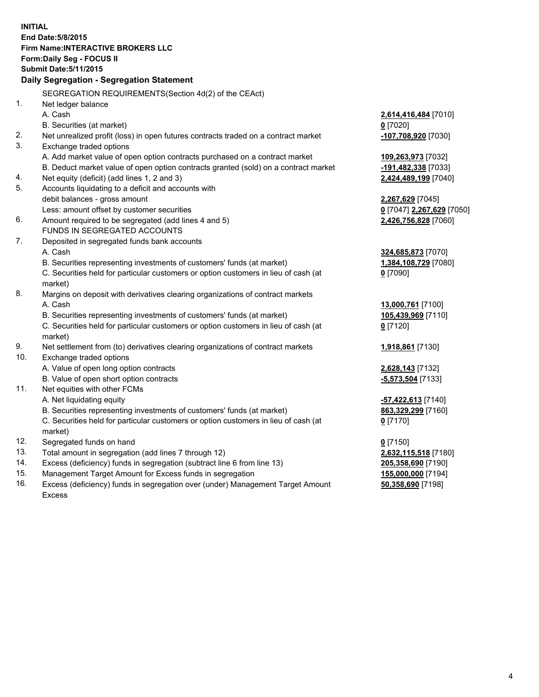**INITIAL End Date:5/8/2015 Firm Name:INTERACTIVE BROKERS LLC Form:Daily Seg - FOCUS II Submit Date:5/11/2015 Daily Segregation - Segregation Statement** SEGREGATION REQUIREMENTS(Section 4d(2) of the CEAct) 1. Net ledger balance A. Cash **2,614,416,484** [7010] B. Securities (at market) **0** [7020] 2. Net unrealized profit (loss) in open futures contracts traded on a contract market **-107,708,920** [7030] 3. Exchange traded options A. Add market value of open option contracts purchased on a contract market **109,263,973** [7032] B. Deduct market value of open option contracts granted (sold) on a contract market **-191,482,338** [7033] 4. Net equity (deficit) (add lines 1, 2 and 3) **2,424,489,199** [7040] 5. Accounts liquidating to a deficit and accounts with debit balances - gross amount **2,267,629** [7045] Less: amount offset by customer securities **0** [7047] **2,267,629** [7050] 6. Amount required to be segregated (add lines 4 and 5) **2,426,756,828** [7060] FUNDS IN SEGREGATED ACCOUNTS 7. Deposited in segregated funds bank accounts A. Cash **324,685,873** [7070] B. Securities representing investments of customers' funds (at market) **1,384,108,729** [7080] C. Securities held for particular customers or option customers in lieu of cash (at market) **0** [7090] 8. Margins on deposit with derivatives clearing organizations of contract markets A. Cash **13,000,761** [7100] B. Securities representing investments of customers' funds (at market) **105,439,969** [7110] C. Securities held for particular customers or option customers in lieu of cash (at market) **0** [7120] 9. Net settlement from (to) derivatives clearing organizations of contract markets **1,918,861** [7130] 10. Exchange traded options A. Value of open long option contracts **2,628,143** [7132] B. Value of open short option contracts **-5,573,504** [7133] 11. Net equities with other FCMs A. Net liquidating equity **-57,422,613** [7140] B. Securities representing investments of customers' funds (at market) **863,329,299** [7160] C. Securities held for particular customers or option customers in lieu of cash (at market) **0** [7170] 12. Segregated funds on hand **0** [7150] 13. Total amount in segregation (add lines 7 through 12) **2,632,115,518** [7180] 14. Excess (deficiency) funds in segregation (subtract line 6 from line 13) **205,358,690** [7190] 15. Management Target Amount for Excess funds in segregation **155,000,000** [7194]

16. Excess (deficiency) funds in segregation over (under) Management Target Amount Excess

**50,358,690** [7198]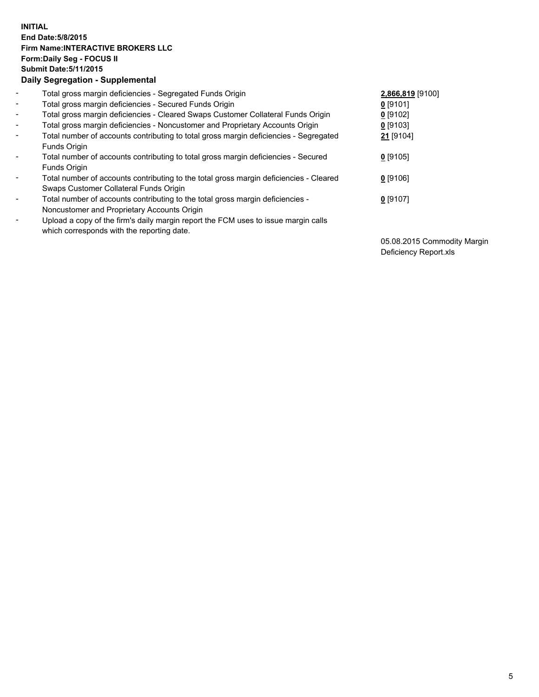## **INITIAL End Date:5/8/2015 Firm Name:INTERACTIVE BROKERS LLC Form:Daily Seg - FOCUS II Submit Date:5/11/2015 Daily Segregation - Supplemental**

| $\blacksquare$           | Total gross margin deficiencies - Segregated Funds Origin                              | 2,866,819 [9100] |
|--------------------------|----------------------------------------------------------------------------------------|------------------|
| $\sim$                   | Total gross margin deficiencies - Secured Funds Origin                                 | $0$ [9101]       |
| $\blacksquare$           | Total gross margin deficiencies - Cleared Swaps Customer Collateral Funds Origin       | 0 [9102]         |
| $\blacksquare$           | Total gross margin deficiencies - Noncustomer and Proprietary Accounts Origin          | $0$ [9103]       |
| $\blacksquare$           | Total number of accounts contributing to total gross margin deficiencies - Segregated  | 21 [9104]        |
|                          | Funds Origin                                                                           |                  |
| $\blacksquare$           | Total number of accounts contributing to total gross margin deficiencies - Secured     | $0$ [9105]       |
|                          | Funds Origin                                                                           |                  |
| $\overline{\phantom{a}}$ | Total number of accounts contributing to the total gross margin deficiencies - Cleared | $0$ [9106]       |
|                          | Swaps Customer Collateral Funds Origin                                                 |                  |
| ۰                        | Total number of accounts contributing to the total gross margin deficiencies -         | $0$ [9107]       |
|                          | Noncustomer and Proprietary Accounts Origin                                            |                  |
| $\blacksquare$           | Upload a copy of the firm's daily margin report the FCM uses to issue margin calls     |                  |
|                          | which corresponds with the reporting date.                                             |                  |

05.08.2015 Commodity Margin Deficiency Report.xls